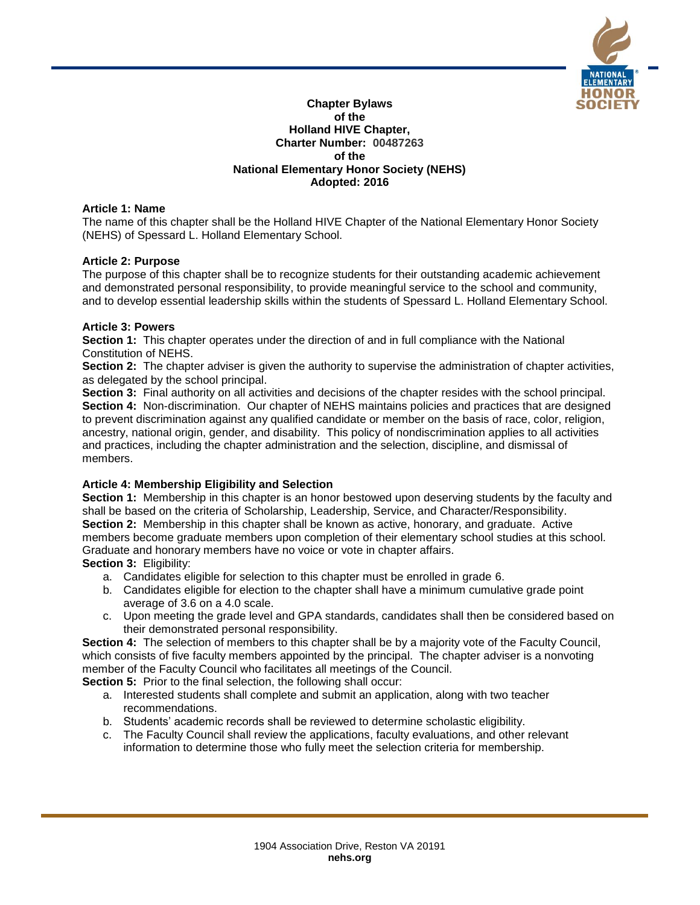

#### **Chapter Bylaws of the Holland HIVE Chapter, Charter Number: 00487263 of the National Elementary Honor Society (NEHS) Adopted: 2016**

## **Article 1: Name**

The name of this chapter shall be the Holland HIVE Chapter of the National Elementary Honor Society (NEHS) of Spessard L. Holland Elementary School.

## **Article 2: Purpose**

The purpose of this chapter shall be to recognize students for their outstanding academic achievement and demonstrated personal responsibility, to provide meaningful service to the school and community, and to develop essential leadership skills within the students of Spessard L. Holland Elementary School.

## **Article 3: Powers**

**Section 1:** This chapter operates under the direction of and in full compliance with the National Constitution of NEHS.

**Section 2:** The chapter adviser is given the authority to supervise the administration of chapter activities, as delegated by the school principal.

**Section 3:** Final authority on all activities and decisions of the chapter resides with the school principal. **Section 4:** Non-discrimination. Our chapter of NEHS maintains policies and practices that are designed to prevent discrimination against any qualified candidate or member on the basis of race, color, religion, ancestry, national origin, gender, and disability. This policy of nondiscrimination applies to all activities and practices, including the chapter administration and the selection, discipline, and dismissal of members.

## **Article 4: Membership Eligibility and Selection**

**Section 1:** Membership in this chapter is an honor bestowed upon deserving students by the faculty and shall be based on the criteria of Scholarship, Leadership, Service, and Character/Responsibility. **Section 2:** Membership in this chapter shall be known as active, honorary, and graduate. Active members become graduate members upon completion of their elementary school studies at this school. Graduate and honorary members have no voice or vote in chapter affairs. **Section 3:** Eligibility:

- a. Candidates eligible for selection to this chapter must be enrolled in grade 6.
- b. Candidates eligible for election to the chapter shall have a minimum cumulative grade point average of 3.6 on a 4.0 scale.
- c. Upon meeting the grade level and GPA standards, candidates shall then be considered based on their demonstrated personal responsibility.

**Section 4:** The selection of members to this chapter shall be by a majority vote of the Faculty Council, which consists of five faculty members appointed by the principal. The chapter adviser is a nonvoting member of the Faculty Council who facilitates all meetings of the Council.

**Section 5:** Prior to the final selection, the following shall occur:

- a. Interested students shall complete and submit an application, along with two teacher recommendations.
- b. Students' academic records shall be reviewed to determine scholastic eligibility.
- c. The Faculty Council shall review the applications, faculty evaluations, and other relevant information to determine those who fully meet the selection criteria for membership.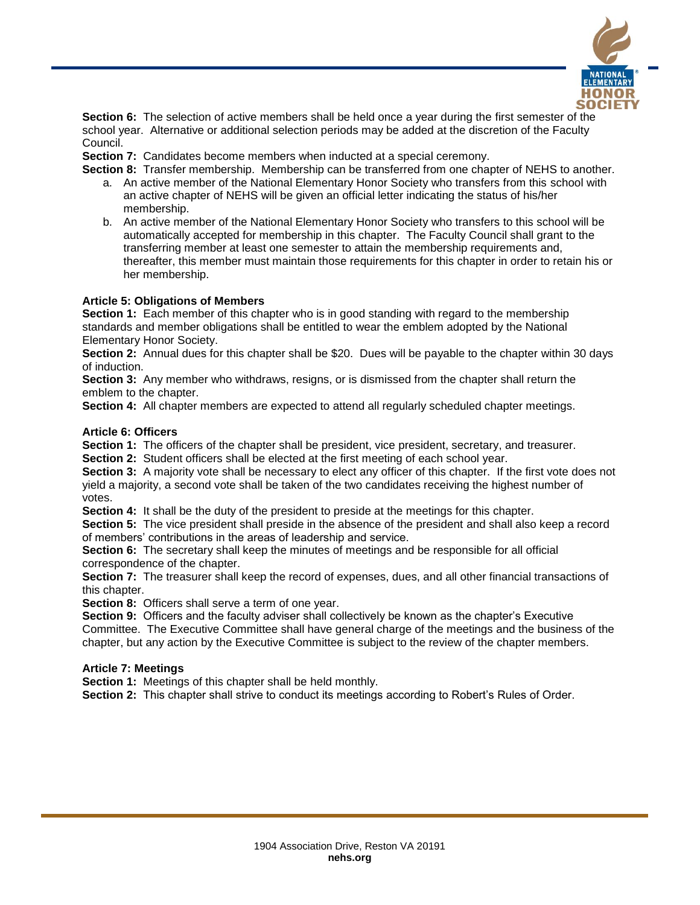

**Section 6:** The selection of active members shall be held once a year during the first semester of the school year. Alternative or additional selection periods may be added at the discretion of the Faculty Council.

**Section 7:** Candidates become members when inducted at a special ceremony.

**Section 8:** Transfer membership. Membership can be transferred from one chapter of NEHS to another.

- a. An active member of the National Elementary Honor Society who transfers from this school with an active chapter of NEHS will be given an official letter indicating the status of his/her membership.
- b. An active member of the National Elementary Honor Society who transfers to this school will be automatically accepted for membership in this chapter. The Faculty Council shall grant to the transferring member at least one semester to attain the membership requirements and, thereafter, this member must maintain those requirements for this chapter in order to retain his or her membership.

### **Article 5: Obligations of Members**

**Section 1:** Each member of this chapter who is in good standing with regard to the membership standards and member obligations shall be entitled to wear the emblem adopted by the National Elementary Honor Society.

**Section 2:** Annual dues for this chapter shall be \$20. Dues will be payable to the chapter within 30 days of induction.

**Section 3:** Any member who withdraws, resigns, or is dismissed from the chapter shall return the emblem to the chapter.

**Section 4:** All chapter members are expected to attend all regularly scheduled chapter meetings.

### **Article 6: Officers**

Section 1: The officers of the chapter shall be president, vice president, secretary, and treasurer.

**Section 2:** Student officers shall be elected at the first meeting of each school year.

**Section 3:** A majority vote shall be necessary to elect any officer of this chapter. If the first vote does not yield a majority, a second vote shall be taken of the two candidates receiving the highest number of votes.

**Section 4:** It shall be the duty of the president to preside at the meetings for this chapter.

**Section 5:** The vice president shall preside in the absence of the president and shall also keep a record of members' contributions in the areas of leadership and service.

**Section 6:** The secretary shall keep the minutes of meetings and be responsible for all official correspondence of the chapter.

**Section 7:** The treasurer shall keep the record of expenses, dues, and all other financial transactions of this chapter.

**Section 8:** Officers shall serve a term of one year.

**Section 9:** Officers and the faculty adviser shall collectively be known as the chapter's Executive Committee. The Executive Committee shall have general charge of the meetings and the business of the

chapter, but any action by the Executive Committee is subject to the review of the chapter members.

#### **Article 7: Meetings**

**Section 1:** Meetings of this chapter shall be held monthly.

**Section 2:** This chapter shall strive to conduct its meetings according to Robert's Rules of Order.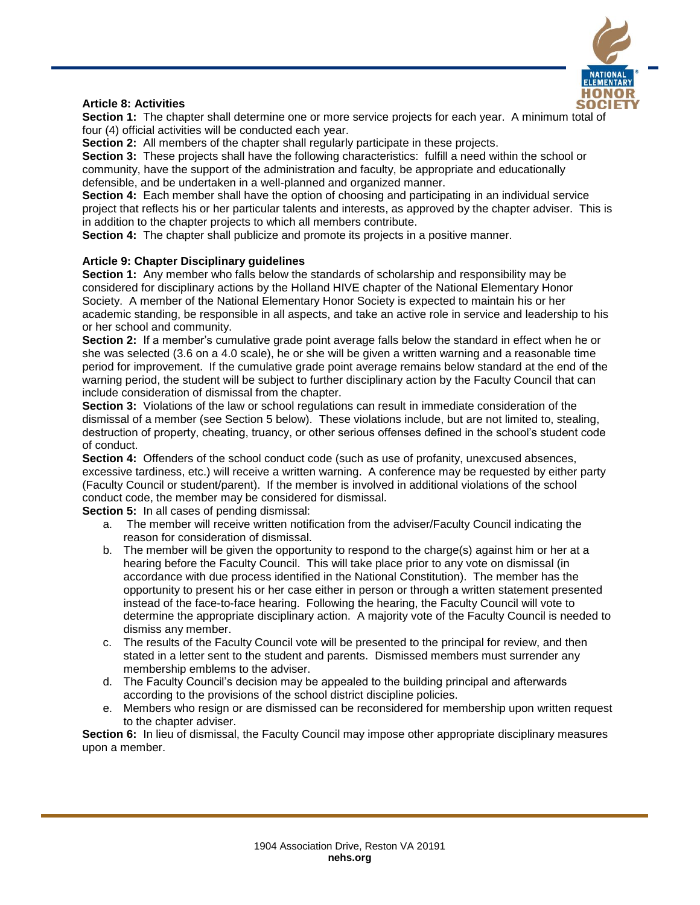

## **Article 8: Activities**

**Section 1:** The chapter shall determine one or more service projects for each year. A minimum total of four (4) official activities will be conducted each year.

**Section 2:** All members of the chapter shall regularly participate in these projects.

**Section 3:** These projects shall have the following characteristics: fulfill a need within the school or community, have the support of the administration and faculty, be appropriate and educationally defensible, and be undertaken in a well-planned and organized manner.

**Section 4:** Each member shall have the option of choosing and participating in an individual service project that reflects his or her particular talents and interests, as approved by the chapter adviser. This is in addition to the chapter projects to which all members contribute.

**Section 4:** The chapter shall publicize and promote its projects in a positive manner.

### **Article 9: Chapter Disciplinary guidelines**

**Section 1:** Any member who falls below the standards of scholarship and responsibility may be considered for disciplinary actions by the Holland HIVE chapter of the National Elementary Honor Society. A member of the National Elementary Honor Society is expected to maintain his or her academic standing, be responsible in all aspects, and take an active role in service and leadership to his or her school and community.

**Section 2:** If a member's cumulative grade point average falls below the standard in effect when he or she was selected (3.6 on a 4.0 scale), he or she will be given a written warning and a reasonable time period for improvement. If the cumulative grade point average remains below standard at the end of the warning period, the student will be subject to further disciplinary action by the Faculty Council that can include consideration of dismissal from the chapter.

**Section 3:** Violations of the law or school regulations can result in immediate consideration of the dismissal of a member (see Section 5 below). These violations include, but are not limited to, stealing, destruction of property, cheating, truancy, or other serious offenses defined in the school's student code of conduct.

**Section 4:** Offenders of the school conduct code (such as use of profanity, unexcused absences, excessive tardiness, etc.) will receive a written warning. A conference may be requested by either party (Faculty Council or student/parent). If the member is involved in additional violations of the school conduct code, the member may be considered for dismissal.

**Section 5:** In all cases of pending dismissal:

- a. The member will receive written notification from the adviser/Faculty Council indicating the reason for consideration of dismissal.
- b. The member will be given the opportunity to respond to the charge(s) against him or her at a hearing before the Faculty Council. This will take place prior to any vote on dismissal (in accordance with due process identified in the National Constitution). The member has the opportunity to present his or her case either in person or through a written statement presented instead of the face-to-face hearing. Following the hearing, the Faculty Council will vote to determine the appropriate disciplinary action. A majority vote of the Faculty Council is needed to dismiss any member.
- c. The results of the Faculty Council vote will be presented to the principal for review, and then stated in a letter sent to the student and parents. Dismissed members must surrender any membership emblems to the adviser.
- d. The Faculty Council's decision may be appealed to the building principal and afterwards according to the provisions of the school district discipline policies.
- e. Members who resign or are dismissed can be reconsidered for membership upon written request to the chapter adviser.

**Section 6:** In lieu of dismissal, the Faculty Council may impose other appropriate disciplinary measures upon a member.